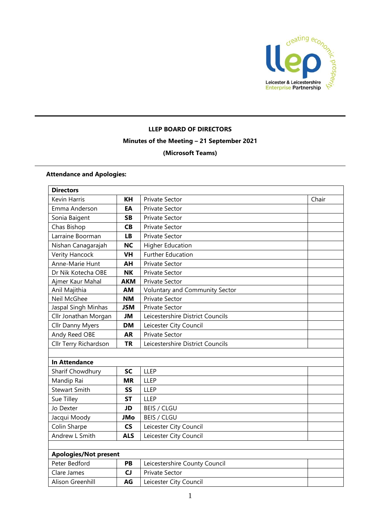

## **LLEP BOARD OF DIRECTORS Minutes of the Meeting – 21 September 2021 (Microsoft Teams)**

## **Attendance and Apologies:**

| <b>Directors</b>             |            |                                  |       |  |
|------------------------------|------------|----------------------------------|-------|--|
| Kevin Harris                 | KH         | <b>Private Sector</b>            | Chair |  |
| Emma Anderson                | EA         | <b>Private Sector</b>            |       |  |
| Sonia Baigent                | SB         | Private Sector                   |       |  |
| Chas Bishop                  | <b>CB</b>  | <b>Private Sector</b>            |       |  |
| Larraine Boorman             | <b>LB</b>  | <b>Private Sector</b>            |       |  |
| Nishan Canagarajah           | <b>NC</b>  | <b>Higher Education</b>          |       |  |
| Verity Hancock               | <b>VH</b>  | <b>Further Education</b>         |       |  |
| Anne-Marie Hunt              | AH         | <b>Private Sector</b>            |       |  |
| Dr Nik Kotecha OBE           | <b>NK</b>  | <b>Private Sector</b>            |       |  |
| Ajmer Kaur Mahal             | <b>AKM</b> | Private Sector                   |       |  |
| Anil Majithia                | AM         | Voluntary and Community Sector   |       |  |
| Neil McGhee                  | <b>NM</b>  | Private Sector                   |       |  |
| Jaspal Singh Minhas          | <b>JSM</b> | Private Sector                   |       |  |
| Cllr Jonathan Morgan         | JM         | Leicestershire District Councils |       |  |
| <b>Cllr Danny Myers</b>      | <b>DM</b>  | Leicester City Council           |       |  |
| Andy Reed OBE                | <b>AR</b>  | Private Sector                   |       |  |
| Cllr Terry Richardson        | <b>TR</b>  | Leicestershire District Councils |       |  |
|                              |            |                                  |       |  |
| <b>In Attendance</b>         |            |                                  |       |  |
| Sharif Chowdhury             | <b>SC</b>  | <b>LLEP</b>                      |       |  |
| Mandip Rai                   | <b>MR</b>  | <b>LLEP</b>                      |       |  |
| <b>Stewart Smith</b>         | SS         | <b>LLEP</b>                      |       |  |
| Sue Tilley                   | <b>ST</b>  | <b>LLEP</b>                      |       |  |
| Jo Dexter                    | JD         | <b>BEIS / CLGU</b>               |       |  |
| Jacqui Moody                 | JMo        | <b>BEIS / CLGU</b>               |       |  |
| Colin Sharpe                 | <b>CS</b>  | Leicester City Council           |       |  |
| Andrew L Smith               | <b>ALS</b> | Leicester City Council           |       |  |
|                              |            |                                  |       |  |
| <b>Apologies/Not present</b> |            |                                  |       |  |
| Peter Bedford                | PB         | Leicestershire County Council    |       |  |
| Clare James                  | CJ         | <b>Private Sector</b>            |       |  |
| Alison Greenhill             | AG         | Leicester City Council           |       |  |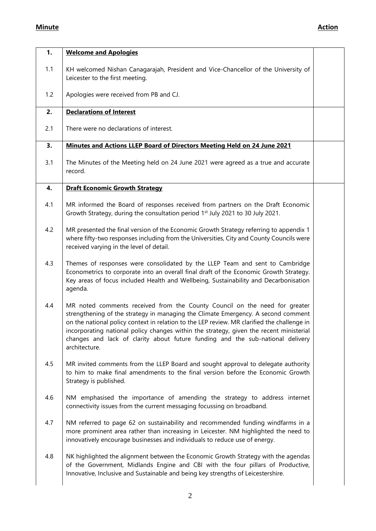## **Minute Action**

| 1.  | <b>Welcome and Apologies</b>                                                                                                                                                                                                                                                                                                                                                                                                                                 |  |
|-----|--------------------------------------------------------------------------------------------------------------------------------------------------------------------------------------------------------------------------------------------------------------------------------------------------------------------------------------------------------------------------------------------------------------------------------------------------------------|--|
| 1.1 | KH welcomed Nishan Canagarajah, President and Vice-Chancellor of the University of<br>Leicester to the first meeting.                                                                                                                                                                                                                                                                                                                                        |  |
| 1.2 | Apologies were received from PB and CJ.                                                                                                                                                                                                                                                                                                                                                                                                                      |  |
| 2.  | <b>Declarations of Interest</b>                                                                                                                                                                                                                                                                                                                                                                                                                              |  |
| 2.1 | There were no declarations of interest.                                                                                                                                                                                                                                                                                                                                                                                                                      |  |
| 3.  | Minutes and Actions LLEP Board of Directors Meeting Held on 24 June 2021                                                                                                                                                                                                                                                                                                                                                                                     |  |
| 3.1 | The Minutes of the Meeting held on 24 June 2021 were agreed as a true and accurate<br>record.                                                                                                                                                                                                                                                                                                                                                                |  |
| 4.  | <b>Draft Economic Growth Strategy</b>                                                                                                                                                                                                                                                                                                                                                                                                                        |  |
| 4.1 | MR informed the Board of responses received from partners on the Draft Economic<br>Growth Strategy, during the consultation period 1 <sup>st</sup> July 2021 to 30 July 2021.                                                                                                                                                                                                                                                                                |  |
| 4.2 | MR presented the final version of the Economic Growth Strategy referring to appendix 1<br>where fifty-two responses including from the Universities, City and County Councils were<br>received varying in the level of detail.                                                                                                                                                                                                                               |  |
| 4.3 | Themes of responses were consolidated by the LLEP Team and sent to Cambridge<br>Econometrics to corporate into an overall final draft of the Economic Growth Strategy.<br>Key areas of focus included Health and Wellbeing, Sustainability and Decarbonisation<br>agenda.                                                                                                                                                                                    |  |
| 4.4 | MR noted comments received from the County Council on the need for greater<br>strengthening of the strategy in managing the Climate Emergency. A second comment<br>on the national policy context in relation to the LEP review. MR clarified the challenge in<br>incorporating national policy changes within the strategy, given the recent ministerial<br>changes and lack of clarity about future funding and the sub-national delivery<br>architecture. |  |
| 4.5 | MR invited comments from the LLEP Board and sought approval to delegate authority<br>to him to make final amendments to the final version before the Economic Growth<br>Strategy is published.                                                                                                                                                                                                                                                               |  |
| 4.6 | NM emphasised the importance of amending the strategy to address internet<br>connectivity issues from the current messaging focussing on broadband.                                                                                                                                                                                                                                                                                                          |  |
| 4.7 | NM referred to page 62 on sustainability and recommended funding windfarms in a<br>more prominent area rather than increasing in Leicester. NM highlighted the need to<br>innovatively encourage businesses and individuals to reduce use of energy.                                                                                                                                                                                                         |  |
| 4.8 | NK highlighted the alignment between the Economic Growth Strategy with the agendas<br>of the Government, Midlands Engine and CBI with the four pillars of Productive,<br>Innovative, Inclusive and Sustainable and being key strengths of Leicestershire.                                                                                                                                                                                                    |  |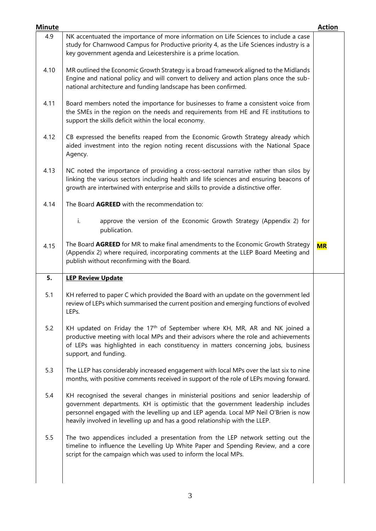| <b>Minute</b> |                                                                                                                                                                                                                                                                                                                                                | <b>Action</b> |
|---------------|------------------------------------------------------------------------------------------------------------------------------------------------------------------------------------------------------------------------------------------------------------------------------------------------------------------------------------------------|---------------|
| 4.9           | NK accentuated the importance of more information on Life Sciences to include a case<br>study for Charnwood Campus for Productive priority 4, as the Life Sciences industry is a<br>key government agenda and Leicestershire is a prime location.                                                                                              |               |
| 4.10          | MR outlined the Economic Growth Strategy is a broad framework aligned to the Midlands<br>Engine and national policy and will convert to delivery and action plans once the sub-<br>national architecture and funding landscape has been confirmed.                                                                                             |               |
| 4.11          | Board members noted the importance for businesses to frame a consistent voice from<br>the SMEs in the region on the needs and requirements from HE and FE institutions to<br>support the skills deficit within the local economy.                                                                                                              |               |
| 4.12          | CB expressed the benefits reaped from the Economic Growth Strategy already which<br>aided investment into the region noting recent discussions with the National Space<br>Agency.                                                                                                                                                              |               |
| 4.13          | NC noted the importance of providing a cross-sectoral narrative rather than silos by<br>linking the various sectors including health and life sciences and ensuring beacons of<br>growth are intertwined with enterprise and skills to provide a distinctive offer.                                                                            |               |
| 4.14          | The Board AGREED with the recommendation to:                                                                                                                                                                                                                                                                                                   |               |
|               | i.<br>approve the version of the Economic Growth Strategy (Appendix 2) for<br>publication.                                                                                                                                                                                                                                                     |               |
| 4.15          | The Board AGREED for MR to make final amendments to the Economic Growth Strategy<br>(Appendix 2) where required, incorporating comments at the LLEP Board Meeting and<br>publish without reconfirming with the Board.                                                                                                                          | <b>MR</b>     |
| 5.            | <b>LEP Review Update</b>                                                                                                                                                                                                                                                                                                                       |               |
| 5.1           | KH referred to paper C which provided the Board with an update on the government led<br>review of LEPs which summarised the current position and emerging functions of evolved<br>LEPs.                                                                                                                                                        |               |
| 5.2           | KH updated on Friday the 17 <sup>th</sup> of September where KH, MR, AR and NK joined a<br>productive meeting with local MPs and their advisors where the role and achievements<br>of LEPs was highlighted in each constituency in matters concerning jobs, business<br>support, and funding.                                                  |               |
| 5.3           | The LLEP has considerably increased engagement with local MPs over the last six to nine<br>months, with positive comments received in support of the role of LEPs moving forward.                                                                                                                                                              |               |
| 5.4           | KH recognised the several changes in ministerial positions and senior leadership of<br>government departments. KH is optimistic that the government leadership includes<br>personnel engaged with the levelling up and LEP agenda. Local MP Neil O'Brien is now<br>heavily involved in levelling up and has a good relationship with the LLEP. |               |
| 5.5           | The two appendices included a presentation from the LEP network setting out the<br>timeline to influence the Levelling Up White Paper and Spending Review, and a core                                                                                                                                                                          |               |
|               | script for the campaign which was used to inform the local MPs.                                                                                                                                                                                                                                                                                |               |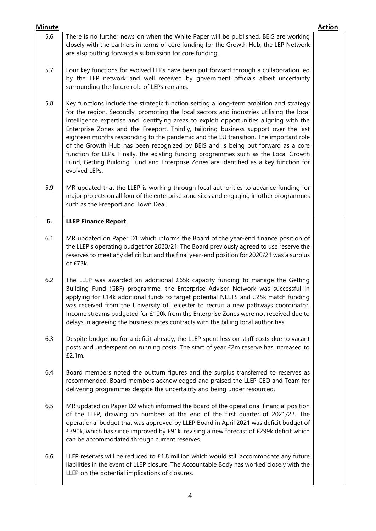| <b>Minute</b> |                                                                                                                                                                                                                                                                                                                                                                                                                                                                                                                                                                                                                                                                                                                                                     | <b>Action</b> |
|---------------|-----------------------------------------------------------------------------------------------------------------------------------------------------------------------------------------------------------------------------------------------------------------------------------------------------------------------------------------------------------------------------------------------------------------------------------------------------------------------------------------------------------------------------------------------------------------------------------------------------------------------------------------------------------------------------------------------------------------------------------------------------|---------------|
| 5.6           | There is no further news on when the White Paper will be published, BEIS are working<br>closely with the partners in terms of core funding for the Growth Hub, the LEP Network<br>are also putting forward a submission for core funding.                                                                                                                                                                                                                                                                                                                                                                                                                                                                                                           |               |
| 5.7           | Four key functions for evolved LEPs have been put forward through a collaboration led<br>by the LEP network and well received by government officials albeit uncertainty<br>surrounding the future role of LEPs remains.                                                                                                                                                                                                                                                                                                                                                                                                                                                                                                                            |               |
| 5.8           | Key functions include the strategic function setting a long-term ambition and strategy<br>for the region. Secondly, promoting the local sectors and industries utilising the local<br>intelligence expertise and identifying areas to exploit opportunities aligning with the<br>Enterprise Zones and the Freeport. Thirdly, tailoring business support over the last<br>eighteen months responding to the pandemic and the EU transition. The important role<br>of the Growth Hub has been recognized by BEIS and is being put forward as a core<br>function for LEPs. Finally, the existing funding programmes such as the Local Growth<br>Fund, Getting Building Fund and Enterprise Zones are identified as a key function for<br>evolved LEPs. |               |
| 5.9           | MR updated that the LLEP is working through local authorities to advance funding for<br>major projects on all four of the enterprise zone sites and engaging in other programmes<br>such as the Freeport and Town Deal.                                                                                                                                                                                                                                                                                                                                                                                                                                                                                                                             |               |
| 6.            | <b>LLEP Finance Report</b>                                                                                                                                                                                                                                                                                                                                                                                                                                                                                                                                                                                                                                                                                                                          |               |
| 6.1           | MR updated on Paper D1 which informs the Board of the year-end finance position of<br>the LLEP's operating budget for 2020/21. The Board previously agreed to use reserve the<br>reserves to meet any deficit but and the final year-end position for 2020/21 was a surplus<br>of £73k.                                                                                                                                                                                                                                                                                                                                                                                                                                                             |               |
| 6.2           | The LLEP was awarded an additional £65k capacity funding to manage the Getting<br>Building Fund (GBF) programme, the Enterprise Adviser Network was successful in<br>applying for £14k additional funds to target potential NEETS and £25k match funding<br>was received from the University of Leicester to recruit a new pathways coordinator.<br>Income streams budgeted for £100k from the Enterprise Zones were not received due to<br>delays in agreeing the business rates contracts with the billing local authorities.                                                                                                                                                                                                                     |               |
| 6.3           | Despite budgeting for a deficit already, the LLEP spent less on staff costs due to vacant<br>posts and underspent on running costs. The start of year £2m reserve has increased to<br>£2.1m.                                                                                                                                                                                                                                                                                                                                                                                                                                                                                                                                                        |               |
| 6.4           | Board members noted the outturn figures and the surplus transferred to reserves as<br>recommended. Board members acknowledged and praised the LLEP CEO and Team for<br>delivering programmes despite the uncertainty and being under resourced.                                                                                                                                                                                                                                                                                                                                                                                                                                                                                                     |               |
| 6.5           | MR updated on Paper D2 which informed the Board of the operational financial position<br>of the LLEP, drawing on numbers at the end of the first quarter of 2021/22. The<br>operational budget that was approved by LLEP Board in April 2021 was deficit budget of<br>£390k, which has since improved by £91k, revising a new forecast of £299k deficit which<br>can be accommodated through current reserves.                                                                                                                                                                                                                                                                                                                                      |               |
| 6.6           | LLEP reserves will be reduced to £1.8 million which would still accommodate any future<br>liabilities in the event of LLEP closure. The Accountable Body has worked closely with the<br>LLEP on the potential implications of closures.                                                                                                                                                                                                                                                                                                                                                                                                                                                                                                             |               |